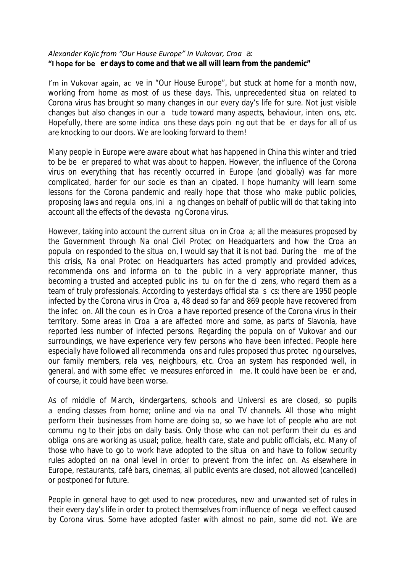## *Alexander Kojic from "Our House Europe" in Vukovar, Croa a:* **"I hope for be er days to come and that we all will learn from the pandemic"**

I'm in Vukovar again, ac ve in "Our House Europe", but stuck at home for a month now, working from home as most of us these days. This, unprecedented situa on related to Corona virus has brought so many changes in our every day's life for sure. Not just visible changes but also changes in our a tude toward many aspects, behaviour, inten ons, etc. Hopefully, there are some indica ons these days poin ng out that be er days for all of us are knocking to our doors. We are looking forward to them!

Many people in Europe were aware about what has happened in China this winter and tried to be be er prepared to what was about to happen. However, the influence of the Corona virus on everything that has recently occurred in Europe (and globally) was far more complicated, harder for our socie es than an cipated. I hope humanity will learn some lessons for the Corona pandemic and really hope that those who make public policies, proposing laws and regula ons, ini a ng changes on behalf of public will do that taking into account all the e ects of the devasta ng Corona virus.

However, taking into account the current situa on in Croa a; all the measures proposed by the Government through Na onal Civil Protec on Headquarters and how the Croa an popula on responded to the situa on, I would say that it is not bad. During the me of the this crisis, Na onal Protec on Headquarters has acted promptly and provided advices, recommenda ons and informa on to the public in a very appropriate manner, thus becoming a trusted and accepted public ins tu on for the ci zens, who regard them as a team of truly professionals. According to yesterdays o cialsta s cs: there are 1950 people infected by the Corona virus in Croa a, 48 dead so far and 869 people have recovered from the infec on. All the coun es in Croa a have reported presence of the Corona virus in their territory. Some areas in Croa a are a ected more and some, as parts of Slavonia, have reported less number of infected persons. Regarding the popula on of Vukovar and our surroundings, we have experience very few persons who have been infected. People here especially have followed all recommenda ons and rules proposed thus protec ng ourselves, our family members, rela ves, neighbours, etc. Croa an system has responded well, in general, and with some e ec ve measures enforced in me. It could have been be er and, of course, it could have been worse.

As of middle of March, kindergartens, schools and Universi es are closed, so pupils a ending classes from home; online and via na onal TV channels. All those who might perform their businesses from home are doing so, so we have lot of people who are not commu ng to their jobs on daily basis. Only those who can not perform their du es and obliga ons are working as usual; police, health care, state and public o cials, etc. Many of those who have to go to work have adopted to the situa on and have to follow security rules adopted on na onal level in order to prevent from the infec on. As elsewhere in Europe, restaurants, café bars, cinemas, all public events are closed, not allowed (cancelled) or postponed for future.

People in general have to get used to new procedures, new and unwanted set of rules in their every day's life in order to protect themselves from influence of nega ve e ect caused by Corona virus. Some have adopted faster with almost no pain, some did not.We are